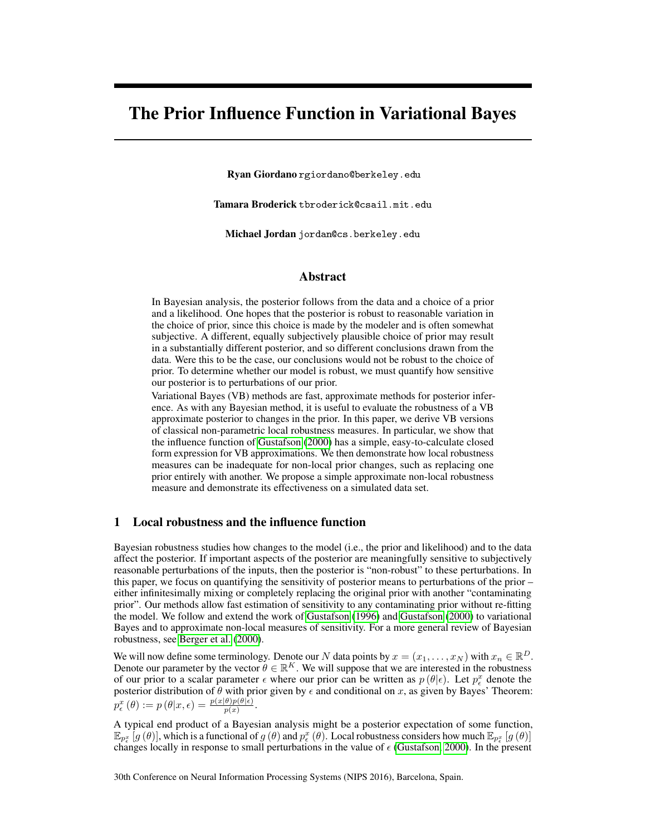## The Prior Influence Function in Variational Bayes

Ryan Giordano rgiordano@berkeley.edu

Tamara Broderick tbroderick@csail.mit.edu

Michael Jordan jordan@cs.berkeley.edu

### Abstract

In Bayesian analysis, the posterior follows from the data and a choice of a prior and a likelihood. One hopes that the posterior is robust to reasonable variation in the choice of prior, since this choice is made by the modeler and is often somewhat subjective. A different, equally subjectively plausible choice of prior may result in a substantially different posterior, and so different conclusions drawn from the data. Were this to be the case, our conclusions would not be robust to the choice of prior. To determine whether our model is robust, we must quantify how sensitive our posterior is to perturbations of our prior.

Variational Bayes (VB) methods are fast, approximate methods for posterior inference. As with any Bayesian method, it is useful to evaluate the robustness of a VB approximate posterior to changes in the prior. In this paper, we derive VB versions of classical non-parametric local robustness measures. In particular, we show that the influence function of [Gustafson](#page-4-0) [\(2000\)](#page-4-0) has a simple, easy-to-calculate closed form expression for VB approximations. We then demonstrate how local robustness measures can be inadequate for non-local prior changes, such as replacing one prior entirely with another. We propose a simple approximate non-local robustness measure and demonstrate its effectiveness on a simulated data set.

### <span id="page-0-0"></span>1 Local robustness and the influence function

Bayesian robustness studies how changes to the model (i.e., the prior and likelihood) and to the data affect the posterior. If important aspects of the posterior are meaningfully sensitive to subjectively reasonable perturbations of the inputs, then the posterior is "non-robust" to these perturbations. In this paper, we focus on quantifying the sensitivity of posterior means to perturbations of the prior – either infinitesimally mixing or completely replacing the original prior with another "contaminating prior". Our methods allow fast estimation of sensitivity to any contaminating prior without re-fitting the model. We follow and extend the work of [Gustafson](#page-4-1) [\(1996\)](#page-4-1) and [Gustafson](#page-4-0) [\(2000\)](#page-4-0) to variational Bayes and to approximate non-local measures of sensitivity. For a more general review of Bayesian robustness, see [Berger et al.](#page-4-2) [\(2000\)](#page-4-2).

We will now define some terminology. Denote our N data points by  $x = (x_1, \dots, x_N)$  with  $x_n \in \mathbb{R}^D$ . Denote our parameter by the vector  $\hat{\theta} \in \mathbb{R}^K$ . We will suppose that we are interested in the robustness of our prior to a scalar parameter  $\epsilon$  where our prior can be written as  $p(\theta|\epsilon)$ . Let  $p_{\epsilon}^x$  denote the posterior distribution of  $\theta$  with prior given by  $\epsilon$  and conditional on x, as given by Bayes' Theorem:  $p_{\epsilon}^{x}(\theta) := p(\theta|x,\epsilon) = \frac{p(x|\theta)p(\theta|\epsilon)}{p(x)}.$ 

A typical end product of a Bayesian analysis might be a posterior expectation of some function,  $\mathbb{E}_{p_{\epsilon}^{x}}[g(\theta)],$  which is a functional of  $g(\theta)$  and  $p_{\epsilon}^{x}(\theta)$ . Local robustness considers how much  $\mathbb{E}_{p_{\epsilon}^{x}}[g(\theta)]$ changes locally in response to small perturbations in the value of  $\epsilon$  [\(Gustafson, 2000\)](#page-4-0). In the present

30th Conference on Neural Information Processing Systems (NIPS 2016), Barcelona, Spain.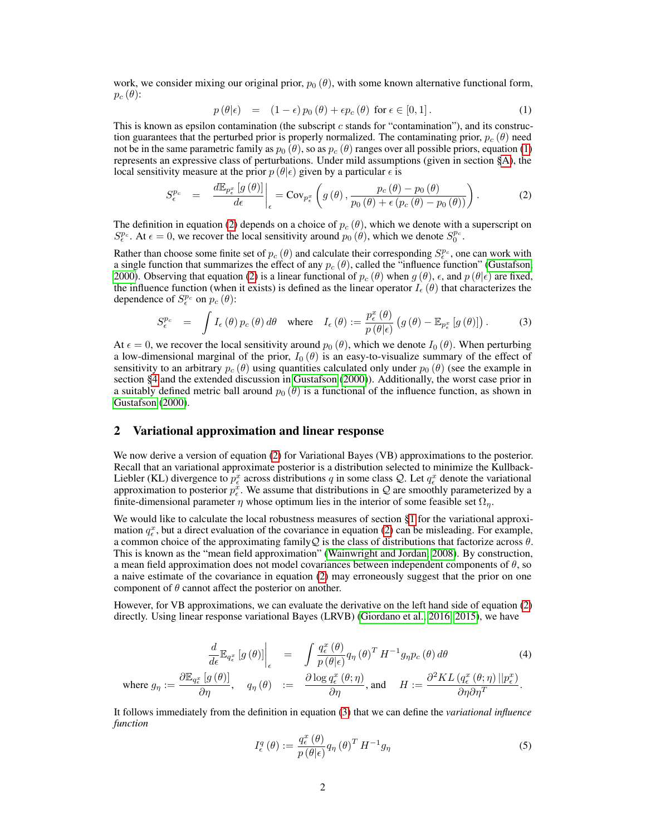work, we consider mixing our original prior,  $p_0(\theta)$ , with some known alternative functional form,  $p_c(\theta)$ :

<span id="page-1-0"></span>
$$
p(\theta|\epsilon) = (1-\epsilon)p_0(\theta) + \epsilon p_c(\theta) \text{ for } \epsilon \in [0,1]. \tag{1}
$$

This is known as epsilon contamination (the subscript  $c$  stands for "contamination"), and its construction guarantees that the perturbed prior is properly normalized. The contaminating prior,  $p_c$  ( $\theta$ ) need not be in the same parametric family as  $p_0(\theta)$ , so as  $p_c(\theta)$  ranges over all possible priors, equation [\(1\)](#page-1-0) represents an expressive class of perturbations. Under mild assumptions (given in section [§A\)](#page-5-0), the local sensitivity measure at the prior  $p(\theta|\epsilon)$  given by a particular  $\epsilon$  is

<span id="page-1-1"></span>
$$
S_{\epsilon}^{p_c} = \frac{d\mathbb{E}_{p_{\epsilon}^x}[g(\theta)]}{d\epsilon} \bigg|_{\epsilon} = \text{Cov}_{p_{\epsilon}^x}\left(g(\theta), \frac{p_c(\theta) - p_0(\theta)}{p_0(\theta) + \epsilon(p_c(\theta) - p_0(\theta))}\right). \tag{2}
$$

The definition in equation [\(2\)](#page-1-1) depends on a choice of  $p_c(\theta)$ , which we denote with a superscript on  $S_{\epsilon}^{p_c}$ . At  $\epsilon = 0$ , we recover the local sensitivity around  $p_0(\theta)$ , which we denote  $S_0^{p_c}$ .

Rather than choose some finite set of  $p_c(\theta)$  and calculate their corresponding  $S^{p_c}_\epsilon$ , one can work with a single function that summarizes the effect of any  $p_c(\theta)$ , called the "influence function" [\(Gustafson,](#page-4-0) [2000\)](#page-4-0). Observing that equation [\(2\)](#page-1-1) is a linear functional of  $p_c(\theta)$  when  $g(\theta)$ ,  $\epsilon$ , and  $p(\theta|\epsilon)$  are fixed, the influence function (when it exists) is defined as the linear operator  $I_{\epsilon}(\theta)$  that characterizes the dependence of  $S^{p_c}_{\epsilon}$  on  $p_c(\theta)$ :

<span id="page-1-2"></span>
$$
S_{\epsilon}^{p_c} = \int I_{\epsilon}(\theta) p_c(\theta) d\theta \quad \text{where} \quad I_{\epsilon}(\theta) := \frac{p_{\epsilon}^x(\theta)}{p(\theta|\epsilon)} \left( g(\theta) - \mathbb{E}_{p_{\epsilon}^x} \left[ g(\theta) \right] \right). \tag{3}
$$

At  $\epsilon = 0$ , we recover the local sensitivity around  $p_0(\theta)$ , which we denote  $I_0(\theta)$ . When perturbing a low-dimensional marginal of the prior,  $I_0(\theta)$  is an easy-to-visualize summary of the effect of sensitivity to an arbitrary  $p_c(\theta)$  using quantities calculated only under  $p_0(\theta)$  (see the example in section [§4](#page-3-0) and the extended discussion in [Gustafson](#page-4-0) [\(2000\)](#page-4-0)). Additionally, the worst case prior in a suitably defined metric ball around  $p_0 (\theta)$  is a functional of the influence function, as shown in [Gustafson](#page-4-0) [\(2000\)](#page-4-0).

### <span id="page-1-5"></span>2 Variational approximation and linear response

We now derive a version of equation [\(2\)](#page-1-1) for Variational Bayes (VB) approximations to the posterior. Recall that an variational approximate posterior is a distribution selected to minimize the Kullback-Liebler (KL) divergence to  $p_{\epsilon}^x$  across distributions q in some class Q. Let  $q_{\epsilon}^x$  denote the variational approximation to posterior  $p_{\epsilon}^{x}$ . We assume that distributions in Q are smoothly parameterized by a finite-dimensional parameter  $\eta$  whose optimum lies in the interior of some feasible set  $\Omega_{\eta}$ .

We would like to calculate the local robustness measures of section [§1](#page-0-0) for the variational approximation  $q_{\epsilon}^x$ , but a direct evaluation of the covariance in equation [\(2\)](#page-1-1) can be misleading. For example, a common choice of the approximating familyQ is the class of distributions that factorize across  $\theta$ . This is known as the "mean field approximation" [\(Wainwright and Jordan, 2008\)](#page-4-3). By construction, a mean field approximation does not model covariances between independent components of  $\theta$ , so a naive estimate of the covariance in equation [\(2\)](#page-1-1) may erroneously suggest that the prior on one component of  $\theta$  cannot affect the posterior on another.

However, for VB approximations, we can evaluate the derivative on the left hand side of equation [\(2\)](#page-1-1) directly. Using linear response variational Bayes (LRVB) [\(Giordano et al., 2016,](#page-4-4) [2015\)](#page-4-5), we have

<span id="page-1-3"></span>
$$
\frac{d}{d\epsilon} \mathbb{E}_{q_{\epsilon}^{x}} \left[ g(\theta) \right]_{\epsilon} = \int \frac{q_{\epsilon}^{x}(\theta)}{p(\theta|\epsilon)} q_{\eta}(\theta)^{T} H^{-1} g_{\eta} p_{c}(\theta) d\theta \qquad (4)
$$
\n
$$
\text{where } g_{\eta} := \frac{\partial \mathbb{E}_{q_{\epsilon}^{x}} \left[ g(\theta) \right]}{\partial \eta}, \quad q_{\eta}(\theta) := \frac{\partial \log q_{\epsilon}^{x}(\theta; \eta)}{\partial \eta}, \text{ and } H := \frac{\partial^{2} KL \left( q_{\epsilon}^{x}(\theta; \eta) \right) \left\| p_{\epsilon}^{x} \right\|}{\partial \eta \partial \eta^{T}}.
$$

It follows immediately from the definition in equation [\(3\)](#page-1-2) that we can define the *variational influence function*

<span id="page-1-4"></span>
$$
I_{\epsilon}^{q}(\theta) := \frac{q_{\epsilon}^{x}(\theta)}{p(\theta|\epsilon)} q_{\eta}(\theta)^{T} H^{-1} g_{\eta}
$$
\n
$$
(5)
$$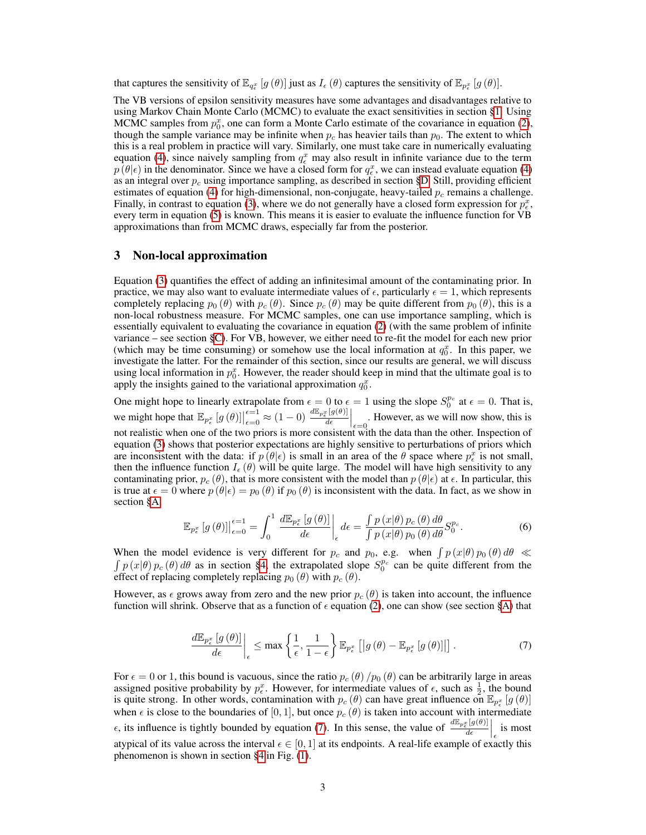that captures the sensitivity of  $\mathbb{E}_{q_{\epsilon}^x}[g(\theta)]$  just as  $I_{\epsilon}(\theta)$  captures the sensitivity of  $\mathbb{E}_{p_{\epsilon}^x}[g(\theta)]$ .

The VB versions of epsilon sensitivity measures have some advantages and disadvantages relative to using Markov Chain Monte Carlo (MCMC) to evaluate the exact sensitivities in section [§1.](#page-0-0) Using MCMC samples from  $p_0^x$ , one can form a Monte Carlo estimate of the covariance in equation [\(2\)](#page-1-1), though the sample variance may be infinite when  $p_c$  has heavier tails than  $p_0$ . The extent to which this is a real problem in practice will vary. Similarly, one must take care in numerically evaluating equation [\(4\)](#page-1-3), since naively sampling from  $q_{\epsilon}^{x}$  may also result in infinite variance due to the term  $p(\theta|\epsilon)$  in the denominator. Since we have a closed form for  $q_{\epsilon}^{x}$ , we can instead evaluate equation [\(4\)](#page-1-3) as an integral over  $p_c$  using importance sampling, as described in section [§D.](#page-8-0) Still, providing efficient estimates of equation [\(4\)](#page-1-3) for high-dimensional, non-conjugate, heavy-tailed  $p_c$  remains a challenge. Finally, in contrast to equation [\(3\)](#page-1-2), where we do not generally have a closed form expression for  $p_{\epsilon}^{x}$ , every term in equation [\(5\)](#page-1-4) is known. This means it is easier to evaluate the influence function for VB approximations than from MCMC draws, especially far from the posterior.

### 3 Non-local approximation

Equation [\(3\)](#page-1-2) quantifies the effect of adding an infinitesimal amount of the contaminating prior. In practice, we may also want to evaluate intermediate values of  $\epsilon$ , particularly  $\epsilon = 1$ , which represents completely replacing  $p_0(\theta)$  with  $p_c(\theta)$ . Since  $p_c(\theta)$  may be quite different from  $p_0(\theta)$ , this is a non-local robustness measure. For MCMC samples, one can use importance sampling, which is essentially equivalent to evaluating the covariance in equation [\(2\)](#page-1-1) (with the same problem of infinite variance – see section [§C\)](#page-7-0). For VB, however, we either need to re-fit the model for each new prior (which may be time consuming) or somehow use the local information at  $q_0^x$ . In this paper, we investigate the latter. For the remainder of this section, since our results are general, we will discuss using local information in  $p_0^x$ . However, the reader should keep in mind that the ultimate goal is to apply the insights gained to the variational approximation  $q_0^x$ .

One might hope to linearly extrapolate from  $\epsilon = 0$  to  $\epsilon = 1$  using the slope  $S_0^{p_c}$  at  $\epsilon = 0$ . That is, we might hope that  $\mathbb{E}_{p_{\epsilon}^x} [g(\theta)]$  $\epsilon=1 \atop \epsilon=0} \approx (1-0) \frac{d \mathbb{E}_{p_{\epsilon}^x}[g(\theta)]}{d \epsilon}$  $\frac{d_e[g(\theta)]}{d_e}$  However, as we will now show, this is not realistic when one of the two priors is more consistent with the data than the other. Inspection of equation [\(3\)](#page-1-2) shows that posterior expectations are highly sensitive to perturbations of priors which are inconsistent with the data: if  $p(\theta|\epsilon)$  is small in an area of the  $\theta$  space where  $p_{\epsilon}^x$  is not small, then the influence function  $I_{\epsilon}(\theta)$  will be quite large. The model will have high sensitivity to any contaminating prior,  $p_c(\theta)$ , that is more consistent with the model than  $p(\theta|\epsilon)$  at  $\epsilon$ . In particular, this is true at  $\epsilon = 0$  where  $p(\theta|\epsilon) = p_0(\theta)$  if  $p_0(\theta)$  is inconsistent with the data. In fact, as we show in section [§A,](#page-5-0)

<span id="page-2-1"></span>
$$
\mathbb{E}_{p_{\epsilon}^{x}}\left[g\left(\theta\right)\right]\Big|_{\epsilon=0}^{\epsilon=1} = \int_{0}^{1} \left. \frac{d\mathbb{E}_{p_{\epsilon}^{x}}\left[g\left(\theta\right)\right]}{d\epsilon}\right|_{\epsilon} d\epsilon = \frac{\int p\left(x|\theta\right)p_{c}\left(\theta\right)d\theta}{\int p\left(x|\theta\right)p_{0}\left(\theta\right)d\theta} S_{0}^{p_{c}}.\tag{6}
$$

When the model evidence is very different for  $p_c$  and  $p_0$ , e.g. when  $\int p(x|\theta) p_0(\theta) d\theta \ll$  $\int p(x|\theta) p_c(\theta) d\theta$  as in section [§4,](#page-3-0) the extrapolated slope  $S_0^{p_c}$  can be quite different from the effect of replacing completely replacing  $p_0(\theta)$  with  $p_c(\theta)$ .

However, as  $\epsilon$  grows away from zero and the new prior  $p_c(\theta)$  is taken into account, the influence function will shrink. Observe that as a function of  $\epsilon$  equation [\(2\)](#page-1-1), one can show (see section [§A\)](#page-5-0) that

<span id="page-2-0"></span>
$$
\frac{d\mathbb{E}_{p_{\epsilon}^{x}}\left[g\left(\theta\right)\right]}{d\epsilon}\bigg|_{\epsilon} \leq \max\left\{\frac{1}{\epsilon},\frac{1}{1-\epsilon}\right\}\mathbb{E}_{p_{\epsilon}^{x}}\left[\left|g\left(\theta\right)-\mathbb{E}_{p_{\epsilon}^{x}}\left[g\left(\theta\right)\right]\right|\right].\tag{7}
$$

For  $\epsilon = 0$  or 1, this bound is vacuous, since the ratio  $p_c(\theta)/p_0(\theta)$  can be arbitrarily large in areas assigned positive probability by  $p_{\epsilon}^x$ . However, for intermediate values of  $\epsilon$ , such as  $\frac{1}{2}$ , the bound is quite strong. In other words, contamination with  $p_c(\theta)$  can have great influence on  $\mathbb{E}_{p_x^x}[g(\theta)]$ when  $\epsilon$  is close to the boundaries of [0, 1], but once  $p_c(\theta)$  is taken into account with intermediate  $\epsilon$ , its influence is tightly bounded by equation [\(7\)](#page-2-0). In this sense, the value of  $\frac{dE_{p_\epsilon}g(g(\theta))}{d\epsilon}$  $\left.\frac{d\epsilon}{d\epsilon}\right|_{\epsilon}$  is most atypical of its value across the interval  $\epsilon \in [0, 1]$  at its endpoints. A real-life example of exactly this phenomenon is shown in section [§4](#page-3-0) in Fig. [\(1\)](#page-3-1).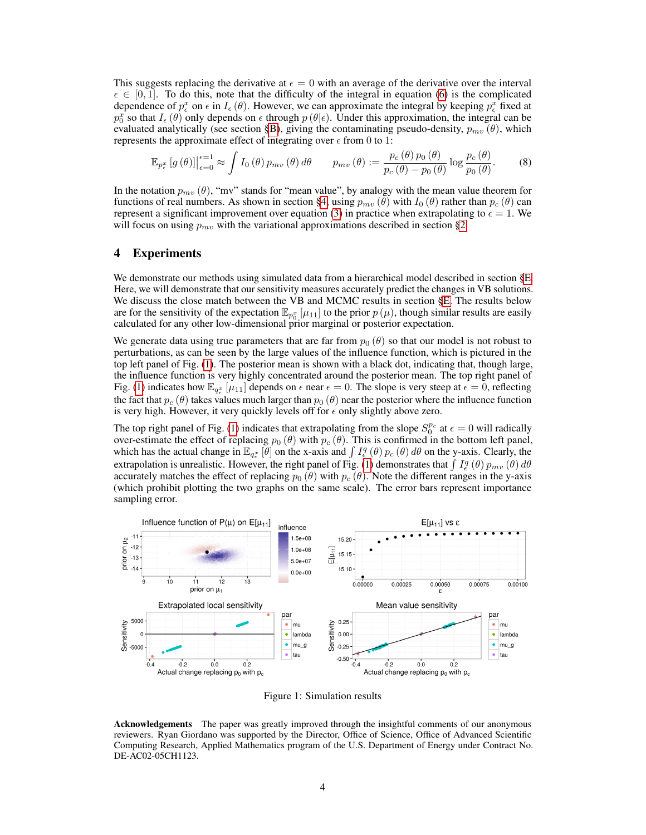This suggests replacing the derivative at  $\epsilon = 0$  with an average of the derivative over the interval  $\epsilon \in [0, 1]$ . To do this, note that the difficulty of the integral in equation [\(6\)](#page-2-1) is the complicated dependence of  $p_{\epsilon}^x$  on  $\epsilon$  in  $I_{\epsilon}(\theta)$ . However, we can approximate the integral by keeping  $p_{\epsilon}^x$  fixed at  $p_0^x$  so that  $I_\epsilon(\theta)$  only depends on  $\epsilon$  through  $p(\theta|\epsilon)$ . Under this approximation, the integral can be evaluated analytically (see section [§B\)](#page-6-0), giving the contaminating pseudo-density,  $p_{mv}(\theta)$ , which represents the approximate effect of integrating over  $\epsilon$  from 0 to 1:

$$
\mathbb{E}_{p_e^x} \left[ g\left(\theta\right) \right] \Big|_{\epsilon=0}^{\epsilon=1} \approx \int I_0 \left(\theta\right) p_{mv} \left(\theta\right) d\theta \qquad p_{mv} \left(\theta\right) := \frac{p_c \left(\theta\right) p_0 \left(\theta\right)}{p_c \left(\theta\right) - p_0 \left(\theta\right)} \log \frac{p_c \left(\theta\right)}{p_0 \left(\theta\right)}.\tag{8}
$$

In the notation  $p_{mv}(\theta)$ , "mv" stands for "mean value", by analogy with the mean value theorem for functions of real numbers. As shown in section [§4,](#page-3-0) using  $p_{mv}(\theta)$  with  $I_0(\theta)$  rather than  $p_c(\theta)$  can represent a significant improvement over equation [\(3\)](#page-1-2) in practice when extrapolating to  $\epsilon = 1$ . We will focus on using  $p_{mv}$  with the variational approximations described in section [§2.](#page-1-5)

### <span id="page-3-0"></span>4 Experiments

We demonstrate our methods using simulated data from a hierarchical model described in section [§E.](#page-9-0) Here, we will demonstrate that our sensitivity measures accurately predict the changes in VB solutions. We discuss the close match between the VB and MCMC results in section [§E.](#page-9-0) The results below are for the sensitivity of the expectation  $\mathbb{E}_{p_0^x}[\mu_{11}]$  to the prior  $p(\mu)$ , though similar results are easily calculated for any other low-dimensional prior marginal or posterior expectation.

We generate data using true parameters that are far from  $p_0 (\theta)$  so that our model is not robust to perturbations, as can be seen by the large values of the influence function, which is pictured in the top left panel of Fig. [\(1\)](#page-3-1). The posterior mean is shown with a black dot, indicating that, though large, the influence function is very highly concentrated around the posterior mean. The top right panel of Fig. [\(1\)](#page-3-1) indicates how  $\mathbb{E}_{q_{\epsilon}^x}[\mu_{11}]$  depends on  $\epsilon$  near  $\epsilon = 0$ . The slope is very steep at  $\epsilon = 0$ , reflecting the fact that  $p_c$  ( $\theta$ ) takes values much larger than  $p_0$  ( $\theta$ ) near the posterior where the influence function is very high. However, it very quickly levels off for  $\epsilon$  only slightly above zero.

The top right panel of Fig. [\(1\)](#page-3-1) indicates that extrapolating from the slope  $S_0^{p_c}$  at  $\epsilon = 0$  will radically over-estimate the effect of replacing  $p_0(\theta)$  with  $p_c(\theta)$ . This is confirmed in the bottom left panel, which has the actual change in  $\mathbb{E}_{q_e^x}[\theta]$  on the x-axis and  $\int I_e^q(\theta) p_c(\theta) d\theta$  on the y-axis. Clearly, the extrapolation is unrealistic. However, the right panel of Fig. [\(1\)](#page-3-1) demonstrates that  $\int I_{\epsilon}^{q}(\theta) p_{mv}(\theta) d\theta$ accurately matches the effect of replacing  $p_0$  ( $\theta$ ) with  $p_c$  ( $\theta$ ). Note the different ranges in the y-axis (which prohibit plotting the two graphs on the same scale). The error bars represent importance sampling error.



<span id="page-3-1"></span>Figure 1: Simulation results

Acknowledgements The paper was greatly improved through the insightful comments of our anonymous reviewers. Ryan Giordano was supported by the Director, Office of Science, Office of Advanced Scientific Computing Research, Applied Mathematics program of the U.S. Department of Energy under Contract No. DE-AC02-05CH1123.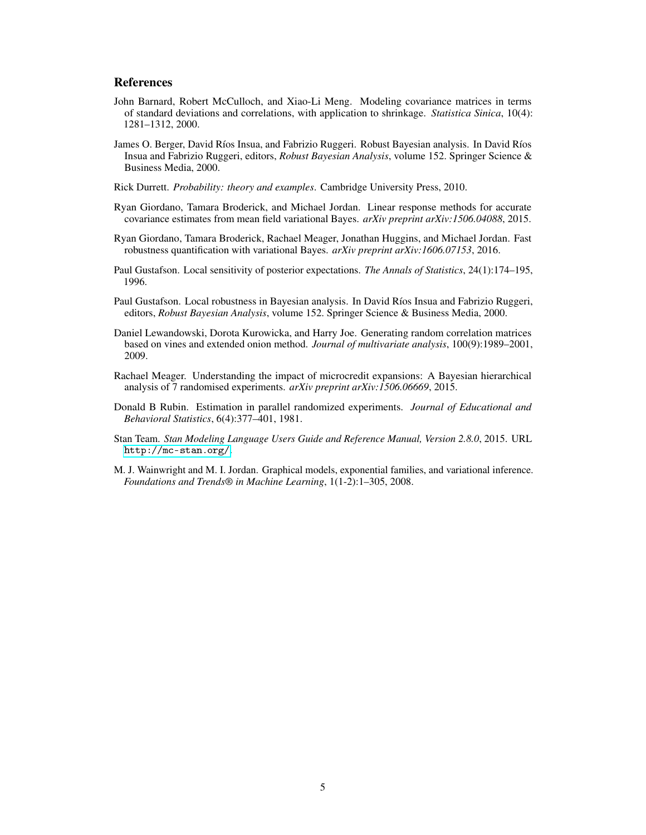### References

- <span id="page-4-9"></span>John Barnard, Robert McCulloch, and Xiao-Li Meng. Modeling covariance matrices in terms of standard deviations and correlations, with application to shrinkage. *Statistica Sinica*, 10(4): 1281–1312, 2000.
- <span id="page-4-2"></span>James O. Berger, David Ríos Insua, and Fabrizio Ruggeri. Robust Bayesian analysis. In David Ríos Insua and Fabrizio Ruggeri, editors, *Robust Bayesian Analysis*, volume 152. Springer Science & Business Media, 2000.
- <span id="page-4-6"></span>Rick Durrett. *Probability: theory and examples*. Cambridge University Press, 2010.
- <span id="page-4-5"></span>Ryan Giordano, Tamara Broderick, and Michael Jordan. Linear response methods for accurate covariance estimates from mean field variational Bayes. *arXiv preprint arXiv:1506.04088*, 2015.
- <span id="page-4-4"></span>Ryan Giordano, Tamara Broderick, Rachael Meager, Jonathan Huggins, and Michael Jordan. Fast robustness quantification with variational Bayes. *arXiv preprint arXiv:1606.07153*, 2016.
- <span id="page-4-1"></span>Paul Gustafson. Local sensitivity of posterior expectations. *The Annals of Statistics*, 24(1):174–195, 1996.
- <span id="page-4-0"></span>Paul Gustafson. Local robustness in Bayesian analysis. In David Ríos Insua and Fabrizio Ruggeri, editors, *Robust Bayesian Analysis*, volume 152. Springer Science & Business Media, 2000.
- <span id="page-4-11"></span>Daniel Lewandowski, Dorota Kurowicka, and Harry Joe. Generating random correlation matrices based on vines and extended onion method. *Journal of multivariate analysis*, 100(9):1989–2001, 2009.
- <span id="page-4-7"></span>Rachael Meager. Understanding the impact of microcredit expansions: A Bayesian hierarchical analysis of 7 randomised experiments. *arXiv preprint arXiv:1506.06669*, 2015.
- <span id="page-4-8"></span>Donald B Rubin. Estimation in parallel randomized experiments. *Journal of Educational and Behavioral Statistics*, 6(4):377–401, 1981.
- <span id="page-4-10"></span>Stan Team. *Stan Modeling Language Users Guide and Reference Manual, Version 2.8.0*, 2015. URL <http://mc-stan.org/>.
- <span id="page-4-3"></span>M. J. Wainwright and M. I. Jordan. Graphical models, exponential families, and variational inference. *Foundations and Trends® in Machine Learning*, 1(1-2):1–305, 2008.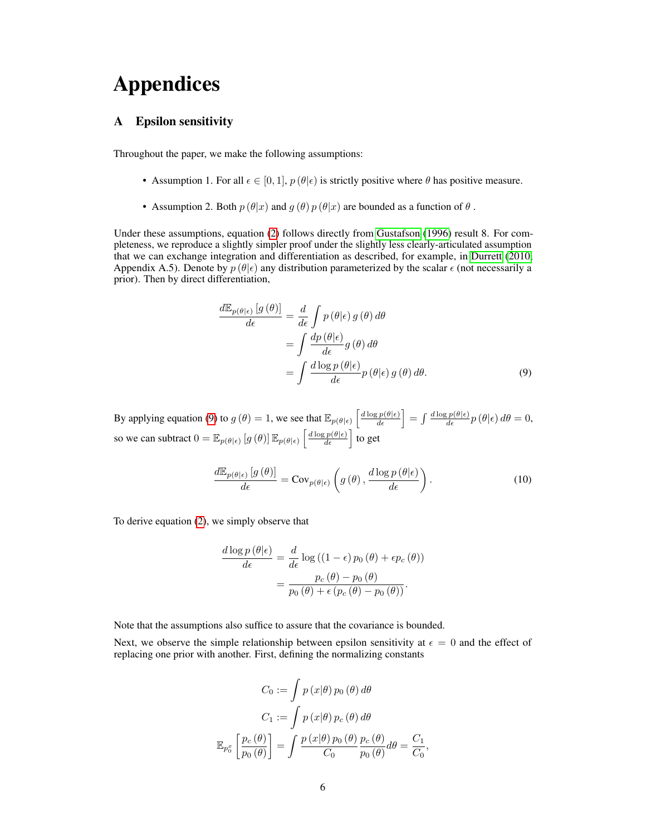# Appendices

### <span id="page-5-0"></span>A Epsilon sensitivity

Throughout the paper, we make the following assumptions:

- Assumption 1. For all  $\epsilon \in [0,1]$ ,  $p(\theta|\epsilon)$  is strictly positive where  $\theta$  has positive measure.
- Assumption 2. Both  $p(\theta|x)$  and  $q(\theta)p(\theta|x)$  are bounded as a function of  $\theta$ .

Under these assumptions, equation [\(2\)](#page-1-1) follows directly from [Gustafson](#page-4-1) [\(1996\)](#page-4-1) result 8. For completeness, we reproduce a slightly simpler proof under the slightly less clearly-articulated assumption that we can exchange integration and differentiation as described, for example, in [Durrett](#page-4-6) [\(2010,](#page-4-6) Appendix A.5). Denote by  $p(\theta|\epsilon)$  any distribution parameterized by the scalar  $\epsilon$  (not necessarily a prior). Then by direct differentiation,

<span id="page-5-1"></span>
$$
\frac{d\mathbb{E}_{p(\theta|\epsilon)}[g(\theta)]}{d\epsilon} = \frac{d}{d\epsilon} \int p(\theta|\epsilon) g(\theta) d\theta
$$

$$
= \int \frac{dp(\theta|\epsilon)}{d\epsilon} g(\theta) d\theta
$$

$$
= \int \frac{d\log p(\theta|\epsilon)}{d\epsilon} p(\theta|\epsilon) g(\theta) d\theta. \tag{9}
$$

By applying equation [\(9\)](#page-5-1) to  $g(\theta) = 1$ , we see that  $\mathbb{E}_{p(\theta|\epsilon)}\left[\frac{d \log p(\theta|\epsilon)}{d \epsilon}\right] = \int \frac{d \log p(\theta|\epsilon)}{d \epsilon} p(\theta|\epsilon) d\theta = 0$ , so we can subtract  $0 = \mathbb{E}_{p(\theta|\epsilon)} \left[ g(\theta) \right] \mathbb{E}_{p(\theta|\epsilon)} \left[ \frac{d \log p(\theta|\epsilon)}{d \epsilon} \right]$  to get

<span id="page-5-2"></span>
$$
\frac{d\mathbb{E}_{p(\theta|\epsilon)}\left[g\left(\theta\right)\right]}{d\epsilon} = \text{Cov}_{p(\theta|\epsilon)}\left(g\left(\theta\right), \frac{d\log p\left(\theta|\epsilon\right)}{d\epsilon}\right). \tag{10}
$$

To derive equation [\(2\)](#page-1-1), we simply observe that

$$
\frac{d \log p(\theta|\epsilon)}{d \epsilon} = \frac{d}{d \epsilon} \log ((1-\epsilon) p_0(\theta) + \epsilon p_c(\theta))
$$

$$
= \frac{p_c(\theta) - p_0(\theta)}{p_0(\theta) + \epsilon (p_c(\theta) - p_0(\theta))}.
$$

Note that the assumptions also suffice to assure that the covariance is bounded.

Next, we observe the simple relationship between epsilon sensitivity at  $\epsilon = 0$  and the effect of replacing one prior with another. First, defining the normalizing constants

$$
C_0 := \int p(x|\theta) p_0(\theta) d\theta
$$

$$
C_1 := \int p(x|\theta) p_c(\theta) d\theta
$$

$$
\mathbb{E}_{p_0^x} \left[ \frac{p_c(\theta)}{p_0(\theta)} \right] = \int \frac{p(x|\theta) p_0(\theta)}{C_0} \frac{p_c(\theta)}{p_0(\theta)} d\theta = \frac{C_1}{C_0},
$$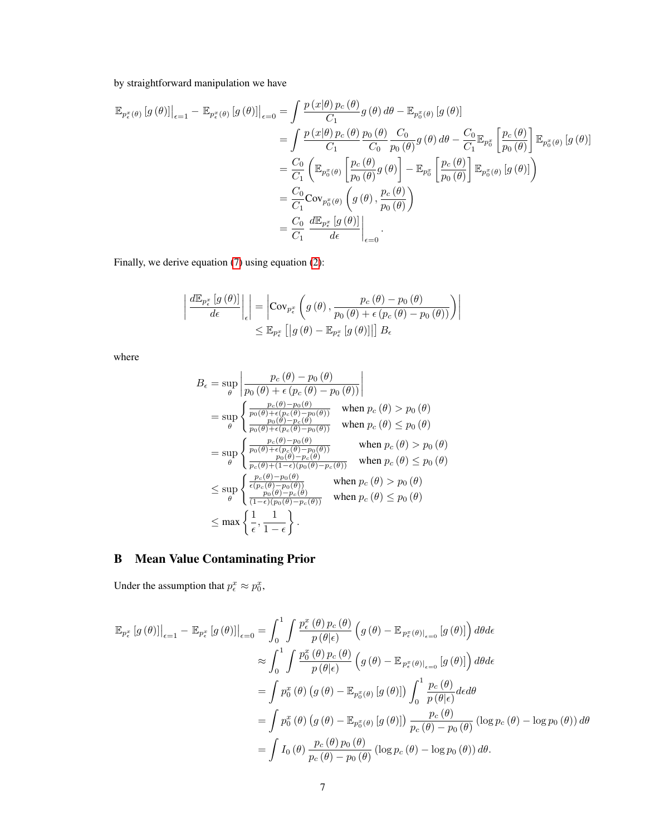### by straightforward manipulation we have

$$
\mathbb{E}_{p_{\epsilon}^{x}(\theta)}\left[g\left(\theta\right)\right]\Big|_{\epsilon=1} - \mathbb{E}_{p_{\epsilon}^{x}(\theta)}\left[g\left(\theta\right)\right]\Big|_{\epsilon=0} = \int \frac{p\left(x|\theta\right)p_{c}\left(\theta\right)}{C_{1}}g\left(\theta\right)d\theta - \mathbb{E}_{p_{0}^{x}(\theta)}\left[g\left(\theta\right)\right]
$$
\n
$$
= \int \frac{p\left(x|\theta\right)p_{c}\left(\theta\right)}{C_{1}}\frac{p_{0}\left(\theta\right)}{C_{0}}\frac{C_{0}}{p_{0}\left(\theta\right)}g\left(\theta\right)d\theta - \frac{C_{0}}{C_{1}}\mathbb{E}_{p_{0}^{x}}\left[\frac{p_{c}\left(\theta\right)}{p_{0}\left(\theta\right)}\right]\mathbb{E}_{p_{0}^{x}(\theta)}\left[g\left(\theta\right)\right]
$$
\n
$$
= \frac{C_{0}}{C_{1}}\left(\mathbb{E}_{p_{0}^{x}(\theta)}\left[\frac{p_{c}\left(\theta\right)}{p_{0}\left(\theta\right)}g\left(\theta\right)\right] - \mathbb{E}_{p_{0}^{x}}\left[\frac{p_{c}\left(\theta\right)}{p_{0}\left(\theta\right)}\right]\mathbb{E}_{p_{0}^{x}(\theta)}\left[g\left(\theta\right)\right]\right)
$$
\n
$$
= \frac{C_{0}}{C_{1}}\text{Cov}_{p_{0}^{x}(\theta)}\left(g\left(\theta\right),\frac{p_{c}\left(\theta\right)}{p_{0}\left(\theta\right)}\right)
$$
\n
$$
= \frac{C_{0}}{C_{1}}\frac{d\mathbb{E}_{p_{\epsilon}^{x}}\left[g\left(\theta\right)\right]}{d\epsilon}\Big|_{\epsilon=0}.
$$

Finally, we derive equation [\(7\)](#page-2-0) using equation [\(2\)](#page-1-1):

$$
\left| \frac{d \mathbb{E}_{p_{\epsilon}^{x}}\left[g\left(\theta\right)\right]}{d \epsilon} \right|_{\epsilon} \right| = \left| \text{Cov}_{p_{\epsilon}^{x}}\left(g\left(\theta\right), \frac{p_{c}\left(\theta\right) - p_{0}\left(\theta\right)}{p_{0}\left(\theta\right) + \epsilon\left(p_{c}\left(\theta\right) - p_{0}\left(\theta\right)\right)}\right) \right|
$$
  

$$
\leq \mathbb{E}_{p_{\epsilon}^{x}}\left[\left| g\left(\theta\right) - \mathbb{E}_{p_{\epsilon}^{x}}\left[g\left(\theta\right)\right] \right|\right] B_{\epsilon}
$$

where

$$
B_{\epsilon} = \sup_{\theta} \left| \frac{p_c(\theta) - p_0(\theta)}{p_0(\theta) + \epsilon (p_c(\theta) - p_0(\theta))} \right|
$$
  
\n
$$
= \sup_{\theta} \left\{ \frac{\frac{p_c(\theta) - p_0(\theta)}{p_0(\theta) + \epsilon (p_c(\theta) - p_0(\theta))} \text{ when } p_c(\theta) > p_0(\theta)}{\frac{p_0(\theta) + \epsilon (p_c(\theta) - p_0(\theta))}{p_0(\theta) + \epsilon (p_c(\theta) - p_0(\theta))}} \text{ when } p_c(\theta) \le p_0(\theta) \right\}
$$
  
\n
$$
= \sup_{\theta} \left\{ \frac{\frac{p_c(\theta) - p_0(\theta)}{p_0(\theta) + \epsilon (p_c(\theta) - p_0(\theta))} \text{ when } p_c(\theta) > p_0(\theta)}{\frac{p_c(\theta) + \epsilon (p_c(\theta) - p_0(\theta))}{p_0(\theta) + \epsilon (p_0(\theta) - p_c(\theta))}} \text{ when } p_c(\theta) \le p_0(\theta) \right\}
$$
  
\n
$$
\le \sup_{\theta} \left\{ \frac{\frac{p_c(\theta) - p_0(\theta)}{\epsilon (p_c(\theta) - p_0(\theta))} \text{ when } p_c(\theta) > p_0(\theta)}{\frac{p_0(\theta) - p_c(\theta)}{(1 - \epsilon) (p_0(\theta) - p_c(\theta))}} \text{ when } p_c(\theta) \le p_0(\theta) \right\}
$$
  
\n
$$
\le \max \left\{ \frac{1}{\epsilon}, \frac{1}{1 - \epsilon} \right\}.
$$

## <span id="page-6-0"></span>B Mean Value Contaminating Prior

Under the assumption that  $p_{\epsilon}^x \approx p_0^x$ ,

$$
\mathbb{E}_{p_{\epsilon}^{x}}\left[g\left(\theta\right)\right]\Big|_{\epsilon=1} - \mathbb{E}_{p_{\epsilon}^{x}}\left[g\left(\theta\right)\right]\Big|_{\epsilon=0} = \int_{0}^{1} \int \frac{p_{\epsilon}^{x}\left(\theta\right)p_{c}\left(\theta\right)}{p\left(\theta|\epsilon\right)} \left(g\left(\theta\right) - \mathbb{E}_{p_{\epsilon}^{x}\left(\theta\right)\right|_{\epsilon=0}}\left[g\left(\theta\right)\right]\right) d\theta d\epsilon
$$
\n
$$
\approx \int_{0}^{1} \int \frac{p_{0}^{x}\left(\theta\right)p_{c}\left(\theta\right)}{p\left(\theta|\epsilon\right)} \left(g\left(\theta\right) - \mathbb{E}_{p_{\epsilon}^{x}\left(\theta\right)\right|_{\epsilon=0}}\left[g\left(\theta\right)\right]\right) d\theta d\epsilon
$$
\n
$$
= \int p_{0}^{x}\left(\theta\right)\left(g\left(\theta\right) - \mathbb{E}_{p_{0}^{x}\left(\theta\right)}\left[g\left(\theta\right)\right]\right) \int_{0}^{1} \frac{p_{c}\left(\theta\right)}{p\left(\theta|\epsilon\right)} d\epsilon d\theta
$$
\n
$$
= \int p_{0}^{x}\left(\theta\right)\left(g\left(\theta\right) - \mathbb{E}_{p_{0}^{x}\left(\theta\right)}\left[g\left(\theta\right)\right]\right) \frac{p_{c}\left(\theta\right)}{p_{c}\left(\theta\right) - p_{0}\left(\theta\right)} \left(\log p_{c}\left(\theta\right) - \log p_{0}\left(\theta\right)\right) d\theta
$$
\n
$$
= \int I_{0}\left(\theta\right) \frac{p_{c}\left(\theta\right)p_{0}\left(\theta\right)}{p_{c}\left(\theta - p_{0}\left(\theta\right)} \left(\log p_{c}\left(\theta\right) - \log p_{0}\left(\theta\right)\right) d\theta.
$$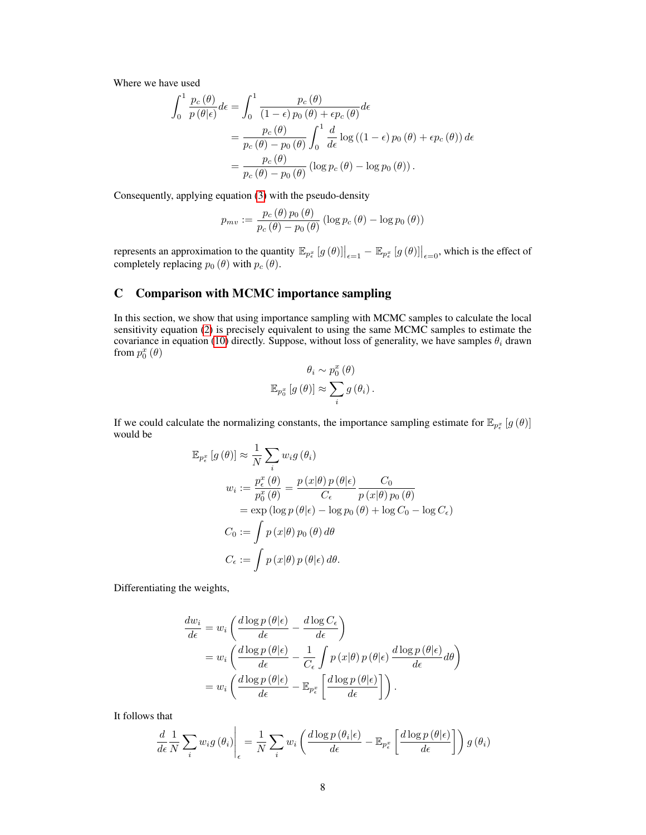Where we have used

$$
\int_{0}^{1} \frac{p_c(\theta)}{p(\theta|\epsilon)} d\epsilon = \int_{0}^{1} \frac{p_c(\theta)}{(1-\epsilon)p_0(\theta) + \epsilon p_c(\theta)} d\epsilon
$$

$$
= \frac{p_c(\theta)}{p_c(\theta) - p_0(\theta)} \int_{0}^{1} \frac{d}{d\epsilon} \log((1-\epsilon)p_0(\theta) + \epsilon p_c(\theta)) d\epsilon
$$

$$
= \frac{p_c(\theta)}{p_c(\theta) - p_0(\theta)} (\log p_c(\theta) - \log p_0(\theta)).
$$

Consequently, applying equation [\(3\)](#page-1-2) with the pseudo-density

$$
p_{mv} := \frac{p_c(\theta) p_0(\theta)}{p_c(\theta) - p_0(\theta)} (\log p_c(\theta) - \log p_0(\theta))
$$

represents an approximation to the quantity  $\mathbb{E}_{p_{\epsilon}^x}[g(\theta)]|_{\epsilon=1} - \mathbb{E}_{p_{\epsilon}^x}[g(\theta)]|_{\epsilon=0}$ , which is the effect of completely replacing  $p_0 (\theta)$  with  $p_c (\theta)$ .

### <span id="page-7-0"></span>C Comparison with MCMC importance sampling

In this section, we show that using importance sampling with MCMC samples to calculate the local sensitivity equation [\(2\)](#page-1-1) is precisely equivalent to using the same MCMC samples to estimate the covariance in equation [\(10\)](#page-5-2) directly. Suppose, without loss of generality, we have samples  $\theta_i$  drawn from  $p_0^x(\theta)$ 

$$
\theta_{i} \sim p_{0}^{x}(\theta)
$$
  

$$
\mathbb{E}_{p_{0}^{x}}[g(\theta)] \approx \sum_{i} g(\theta_{i}).
$$

If we could calculate the normalizing constants, the importance sampling estimate for  $\mathbb{E}_{p_{\epsilon}^x}[g(\theta)]$ would be

$$
\mathbb{E}_{p_{\epsilon}^{x}}[g(\theta)] \approx \frac{1}{N} \sum_{i} w_{i}g(\theta_{i})
$$
  

$$
w_{i} := \frac{p_{\epsilon}^{x}(\theta)}{p_{0}^{x}(\theta)} = \frac{p(x|\theta) p(\theta|\epsilon)}{C_{\epsilon}} \frac{C_{0}}{p(x|\theta) p_{0}(\theta)}
$$
  

$$
= \exp(\log p(\theta|\epsilon) - \log p_{0}(\theta) + \log C_{0} - \log C_{\epsilon})
$$
  

$$
C_{0} := \int p(x|\theta) p_{0}(\theta) d\theta
$$
  

$$
C_{\epsilon} := \int p(x|\theta) p(\theta|\epsilon) d\theta.
$$

Differentiating the weights,

$$
\frac{dw_i}{d\epsilon} = w_i \left( \frac{d \log p(\theta | \epsilon)}{d\epsilon} - \frac{d \log C_{\epsilon}}{d\epsilon} \right)
$$
  
=  $w_i \left( \frac{d \log p(\theta | \epsilon)}{d\epsilon} - \frac{1}{C_{\epsilon}} \int p(x | \theta) p(\theta | \epsilon) \frac{d \log p(\theta | \epsilon)}{d\epsilon} d\theta \right)$   
=  $w_i \left( \frac{d \log p(\theta | \epsilon)}{d\epsilon} - \mathbb{E}_{p_{\epsilon}^x} \left[ \frac{d \log p(\theta | \epsilon)}{d\epsilon} \right] \right).$ 

It follows that

$$
\frac{d}{d\epsilon} \frac{1}{N} \sum_{i} w_{i} g\left(\theta_{i}\right) \Bigg|_{\epsilon} = \frac{1}{N} \sum_{i} w_{i} \left( \frac{d \log p\left(\theta_{i} | \epsilon\right)}{d\epsilon} - \mathbb{E}_{p_{\epsilon}^{x}} \left[ \frac{d \log p\left(\theta | \epsilon\right)}{d\epsilon} \right] \right) g\left(\theta_{i}\right)
$$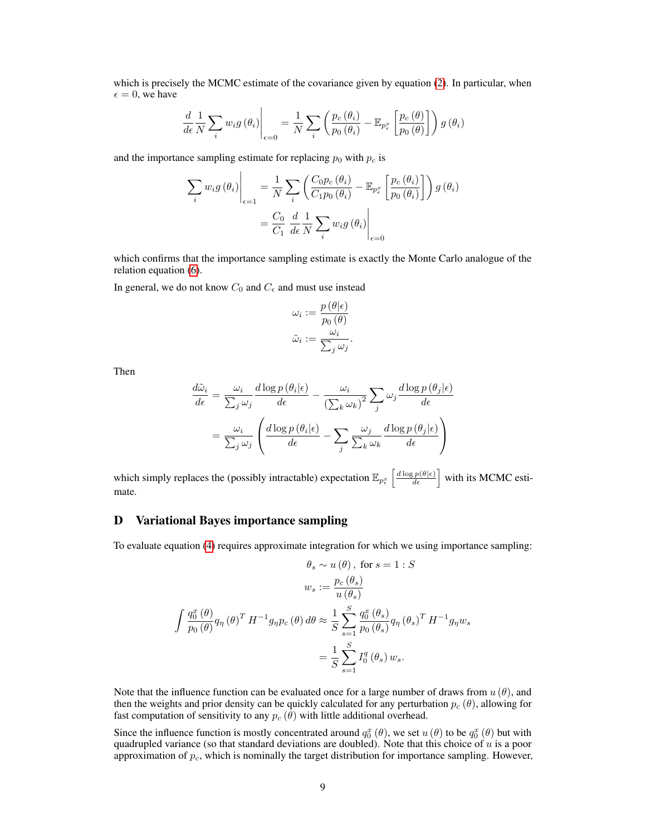which is precisely the MCMC estimate of the covariance given by equation [\(2\)](#page-1-1). In particular, when  $\epsilon = 0$ , we have

$$
\frac{d}{d\epsilon}\frac{1}{N}\sum_{i}w_{i}g\left(\theta_{i}\right)\Biggl|_{\epsilon=0} = \frac{1}{N}\sum_{i}\left(\frac{p_{c}\left(\theta_{i}\right)}{p_{0}\left(\theta_{i}\right)} - \mathbb{E}_{p_{\epsilon}^{x}}\left[\frac{p_{c}\left(\theta\right)}{p_{0}\left(\theta\right)}\right]\right)g\left(\theta_{i}\right)
$$

and the importance sampling estimate for replacing  $p_0$  with  $p_c$  is

$$
\sum_{i} w_{i} g(\theta_{i})\Big|_{\epsilon=1} = \frac{1}{N} \sum_{i} \left( \frac{C_{0} p_{c}(\theta_{i})}{C_{1} p_{0}(\theta_{i})} - \mathbb{E}_{p_{\epsilon}^{x}} \left[ \frac{p_{c}(\theta_{i})}{p_{0}(\theta_{i})} \right] \right) g(\theta_{i})
$$

$$
= \frac{C_{0}}{C_{1}} \frac{d}{d\epsilon} \frac{1}{N} \sum_{i} w_{i} g(\theta_{i})\Big|_{\epsilon=0}
$$

which confirms that the importance sampling estimate is exactly the Monte Carlo analogue of the relation equation [\(6\)](#page-2-1).

In general, we do not know  $C_0$  and  $C_\epsilon$  and must use instead

$$
\omega_i := \frac{p(\theta|\epsilon)}{p_0(\theta)}
$$

$$
\tilde{\omega}_i := \frac{\omega_i}{\sum_j \omega_j}.
$$

Then

$$
\frac{d\tilde{\omega}_i}{d\epsilon} = \frac{\omega_i}{\sum_j \omega_j} \frac{d \log p(\theta_i|\epsilon)}{d\epsilon} - \frac{\omega_i}{(\sum_k \omega_k)^2} \sum_j \omega_j \frac{d \log p(\theta_j|\epsilon)}{d\epsilon}
$$

$$
= \frac{\omega_i}{\sum_j \omega_j} \left( \frac{d \log p(\theta_i|\epsilon)}{d\epsilon} - \sum_j \frac{\omega_j}{\sum_k \omega_k} \frac{d \log p(\theta_j|\epsilon)}{d\epsilon} \right)
$$

which simply replaces the (possibly intractable) expectation  $\mathbb{E}_{p_{\epsilon}^x} \left[ \frac{d \log p(\theta|\epsilon)}{d \epsilon} \right]$  with its MCMC estimate.

### <span id="page-8-0"></span>D Variational Bayes importance sampling

To evaluate equation [\(4\)](#page-1-3) requires approximate integration for which we using importance sampling:

$$
\theta_s \sim u(\theta), \text{ for } s = 1 : S
$$

$$
w_s := \frac{p_c(\theta_s)}{u(\theta_s)}
$$

$$
\int \frac{q_0^x(\theta)}{p_0(\theta)} q_\eta(\theta)^T H^{-1} g_\eta p_c(\theta) d\theta \approx \frac{1}{S} \sum_{s=1}^S \frac{q_0^x(\theta_s)}{p_0(\theta_s)} q_\eta(\theta_s)^T H^{-1} g_\eta w_s
$$

$$
= \frac{1}{S} \sum_{s=1}^S I_0^q(\theta_s) w_s.
$$

Note that the influence function can be evaluated once for a large number of draws from  $u(\theta)$ , and then the weights and prior density can be quickly calculated for any perturbation  $p_c(\theta)$ , allowing for fast computation of sensitivity to any  $p_c$  ( $\bar{\theta}$ ) with little additional overhead.

Since the influence function is mostly concentrated around  $q_0^x(\theta)$ , we set  $u(\theta)$  to be  $q_0^x(\theta)$  but with quadrupled variance (so that standard deviations are doubled). Note that this choice of  $u$  is a poor approximation of  $p_c$ , which is nominally the target distribution for importance sampling. However,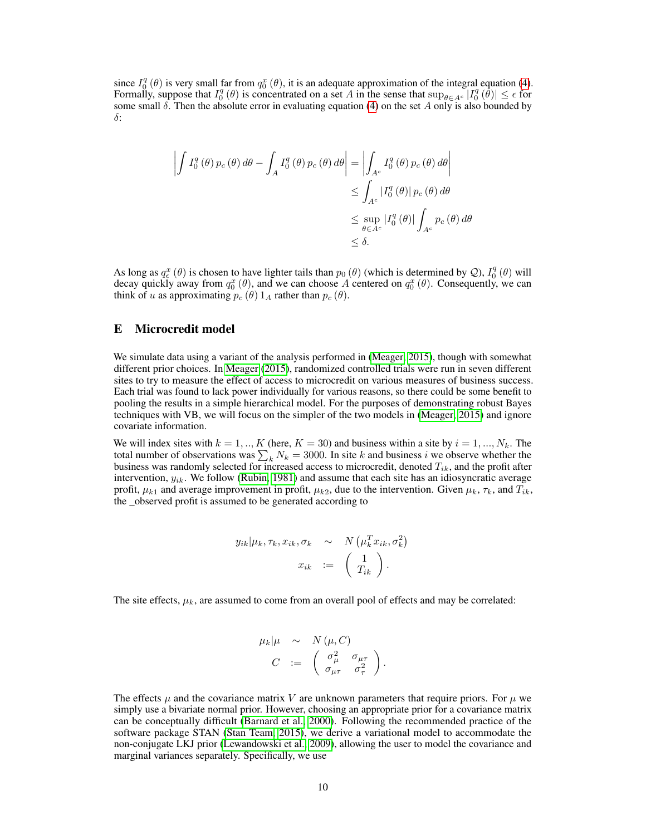since  $I_0^q(\theta)$  is very small far from  $q_0^x(\theta)$ , it is an adequate approximation of the integral equation [\(4\)](#page-1-3). Formally, suppose that  $I_0^q(\theta)$  is concentrated on a set A in the sense that  $\sup_{\theta \in A^c} |I_0^q(\theta)| \leq \epsilon$  for some small  $\delta$ . Then the absolute error in evaluating equation [\(4\)](#page-1-3) on the set A only is also bounded by δ:

$$
\left| \int I_0^q(\theta) p_c(\theta) d\theta - \int_A I_0^q(\theta) p_c(\theta) d\theta \right| = \left| \int_{A^c} I_0^q(\theta) p_c(\theta) d\theta \right|
$$
  

$$
\leq \int_{A^c} |I_0^q(\theta)| p_c(\theta) d\theta
$$
  

$$
\leq \sup_{\theta \in A^c} |I_0^q(\theta)| \int_{A^c} p_c(\theta) d\theta
$$
  

$$
\leq \delta.
$$

As long as  $q_{\epsilon}^{x}(\theta)$  is chosen to have lighter tails than  $p_0(\theta)$  (which is determined by  $\mathcal{Q}$ ),  $I_0^q(\theta)$  will decay quickly away from  $q_0^x(\theta)$ , and we can choose A centered on  $q_0^x(\theta)$ . Consequently, we can think of u as approximating  $p_c(\theta) 1_A$  rather than  $p_c(\theta)$ .

### <span id="page-9-0"></span>E Microcredit model

We simulate data using a variant of the analysis performed in [\(Meager, 2015\)](#page-4-7), though with somewhat different prior choices. In [Meager](#page-4-7) [\(2015\)](#page-4-7), randomized controlled trials were run in seven different sites to try to measure the effect of access to microcredit on various measures of business success. Each trial was found to lack power individually for various reasons, so there could be some benefit to pooling the results in a simple hierarchical model. For the purposes of demonstrating robust Bayes techniques with VB, we will focus on the simpler of the two models in [\(Meager, 2015\)](#page-4-7) and ignore covariate information.

We will index sites with  $k = 1, ..., K$  (here,  $K = 30$ ) and business within a site by  $i = 1, ..., N_k$ . The total number of observations was  $\sum_k N_k = 3000$ . In site k and business i we observe whether the business was randomly selected for increased access to microcredit, denoted  $T_{ik}$ , and the profit after intervention,  $y_{ik}$ . We follow [\(Rubin, 1981\)](#page-4-8) and assume that each site has an idiosyncratic average profit,  $\mu_{k1}$  and average improvement in profit,  $\mu_{k2}$ , due to the intervention. Given  $\mu_k$ ,  $\tau_k$ , and  $T_{ik}$ , the \_observed profit is assumed to be generated according to

$$
y_{ik}|\mu_k, \tau_k, x_{ik}, \sigma_k \sim N(\mu_k^T x_{ik}, \sigma_k^2)
$$

$$
x_{ik} := \begin{pmatrix} 1 \\ T_{ik} \end{pmatrix}.
$$

The site effects,  $\mu_k$ , are assumed to come from an overall pool of effects and may be correlated:

$$
\mu_k|\mu \sim N(\mu, C)
$$
  

$$
C := \begin{pmatrix} \sigma_{\mu}^2 & \sigma_{\mu\tau} \\ \sigma_{\mu\tau} & \sigma_{\tau}^2 \end{pmatrix}.
$$

The effects  $\mu$  and the covariance matrix V are unknown parameters that require priors. For  $\mu$  we simply use a bivariate normal prior. However, choosing an appropriate prior for a covariance matrix can be conceptually difficult [\(Barnard et al., 2000\)](#page-4-9). Following the recommended practice of the software package STAN [\(Stan Team, 2015\)](#page-4-10), we derive a variational model to accommodate the non-conjugate LKJ prior [\(Lewandowski et al., 2009\)](#page-4-11), allowing the user to model the covariance and marginal variances separately. Specifically, we use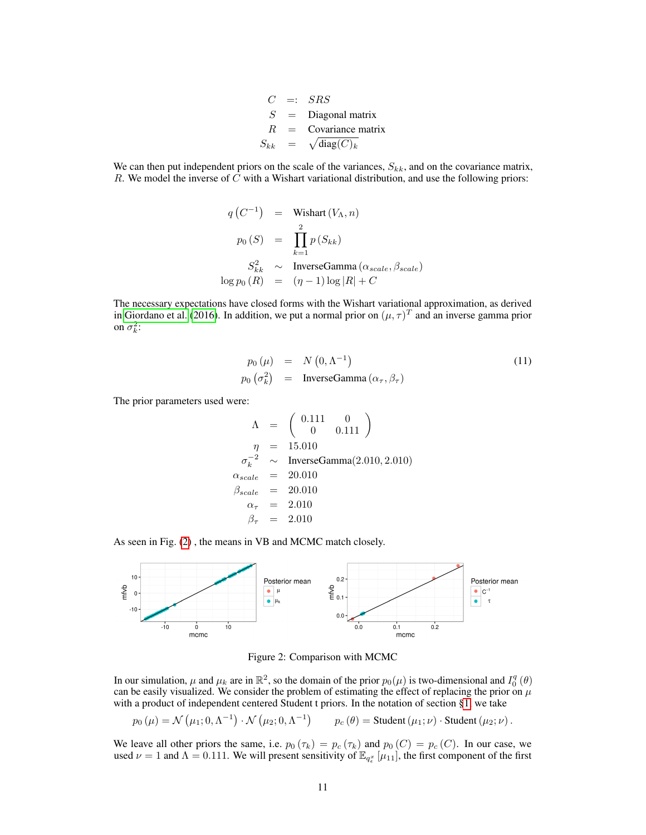$C =: SRS$  $S =$  Diagonal matrix  $R =$  Covariance matrix  $S_{kk}$  =  $\sqrt{\text{diag}(C)_k}$ 

We can then put independent priors on the scale of the variances,  $S_{kk}$ , and on the covariance matrix, R. We model the inverse of  $\overline{C}$  with a Wishart variational distribution, and use the following priors:

$$
q(C^{-1}) = \text{Wishart}(V_{\Lambda}, n)
$$
  
\n
$$
p_0(S) = \prod_{k=1}^{2} p(S_{kk})
$$
  
\n
$$
S_{kk}^2 \sim \text{InverseGamma}(\alpha_{scale}, \beta_{scale})
$$
  
\n
$$
\log p_0(R) = (\eta - 1) \log |R| + C
$$

The necessary expectations have closed forms with the Wishart variational approximation, as derived in [Giordano et al.](#page-4-4) [\(2016\)](#page-4-4). In addition, we put a normal prior on  $(\mu, \tau)^T$  and an inverse gamma prior on  $\sigma_k^2$ :

$$
p_0(\mu) = N(0, \Lambda^{-1})
$$
  
\n
$$
p_0(\sigma_k^2) = \text{InverseGamma}(\alpha_\tau, \beta_\tau)
$$
\n(11)

The prior parameters used were:

$$
\Lambda = \begin{pmatrix} 0.111 & 0 \\ 0 & 0.111 \end{pmatrix}
$$
  
\n
$$
\eta = 15.010
$$
  
\n
$$
\sigma_k^{-2} \sim \text{InverseGamma}(2.010, 2.010)
$$
  
\n
$$
\alpha_{scale} = 20.010
$$
  
\n
$$
\beta_{scale} = 2.010
$$
  
\n
$$
\beta_{\tau} = 2.010
$$

As seen in Fig. [\(2\)](#page-10-0) , the means in VB and MCMC match closely.



<span id="page-10-0"></span>Figure 2: Comparison with MCMC

In our simulation,  $\mu$  and  $\mu_k$  are in  $\mathbb{R}^2$ , so the domain of the prior  $p_0(\mu)$  is two-dimensional and  $I_0^q(\theta)$ can be easily visualized. We consider the problem of estimating the effect of replacing the prior on  $\mu$ with a product of independent centered Student t priors. In the notation of section [§1,](#page-0-0) we take

$$
p_0(\mu) = \mathcal{N}(\mu_1; 0, \Lambda^{-1}) \cdot \mathcal{N}(\mu_2; 0, \Lambda^{-1})
$$
  $p_c(\theta) =$ Student  $(\mu_1; \nu) \cdot$ Student  $(\mu_2; \nu)$ .

We leave all other priors the same, i.e.  $p_0(\tau_k) = p_c(\tau_k)$  and  $p_0(C) = p_c(C)$ . In our case, we used  $\nu = 1$  and  $\Lambda = 0.111$ . We will present sensitivity of  $\mathbb{E}_{q_{\epsilon}}[\mu_{11}]$ , the first component of the first